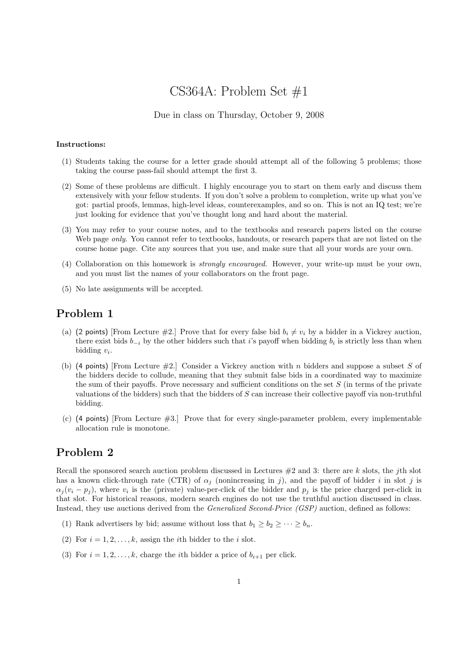# CS364A: Problem Set #1

#### Due in class on Thursday, October 9, 2008

#### Instructions:

- (1) Students taking the course for a letter grade should attempt all of the following 5 problems; those taking the course pass-fail should attempt the first 3.
- (2) Some of these problems are difficult. I highly encourage you to start on them early and discuss them extensively with your fellow students. If you don't solve a problem to completion, write up what you've got: partial proofs, lemmas, high-level ideas, counterexamples, and so on. This is not an IQ test; we're just looking for evidence that you've thought long and hard about the material.
- (3) You may refer to your course notes, and to the textbooks and research papers listed on the course Web page *only*. You cannot refer to textbooks, handouts, or research papers that are not listed on the course home page. Cite any sources that you use, and make sure that all your words are your own.
- (4) Collaboration on this homework is strongly encouraged. However, your write-up must be your own, and you must list the names of your collaborators on the front page.
- (5) No late assignments will be accepted.

#### Problem 1

- (a) (2 points) [From Lecture #2.] Prove that for every false bid  $b_i \neq v_i$  by a bidder in a Vickrey auction, there exist bids  $b_{-i}$  by the other bidders such that i's payoff when bidding  $b_i$  is strictly less than when bidding  $v_i$ .
- (b) (4 points) [From Lecture  $\#2$ .] Consider a Vickrey auction with n bidders and suppose a subset S of the bidders decide to collude, meaning that they submit false bids in a coordinated way to maximize the sum of their payoffs. Prove necessary and sufficient conditions on the set  $S$  (in terms of the private valuations of the bidders) such that the bidders of  $S$  can increase their collective payoff via non-truthful bidding.
- (c) (4 points) [From Lecture #3.] Prove that for every single-parameter problem, every implementable allocation rule is monotone.

### Problem 2

Recall the sponsored search auction problem discussed in Lectures  $#2$  and 3: there are k slots, the jth slot has a known click-through rate (CTR) of  $\alpha_j$  (nonincreasing in j), and the payoff of bidder i in slot j is  $\alpha_j(v_i - p_j)$ , where  $v_i$  is the (private) value-per-click of the bidder and  $p_j$  is the price charged per-click in that slot. For historical reasons, modern search engines do not use the truthful auction discussed in class. Instead, they use auctions derived from the Generalized Second-Price (GSP) auction, defined as follows:

- (1) Rank advertisers by bid; assume without loss that  $b_1 \geq b_2 \geq \cdots \geq b_n$ .
- (2) For  $i = 1, 2, \ldots, k$ , assign the *i*th bidder to the *i* slot.
- (3) For  $i = 1, 2, \ldots, k$ , charge the *i*th bidder a price of  $b_{i+1}$  per click.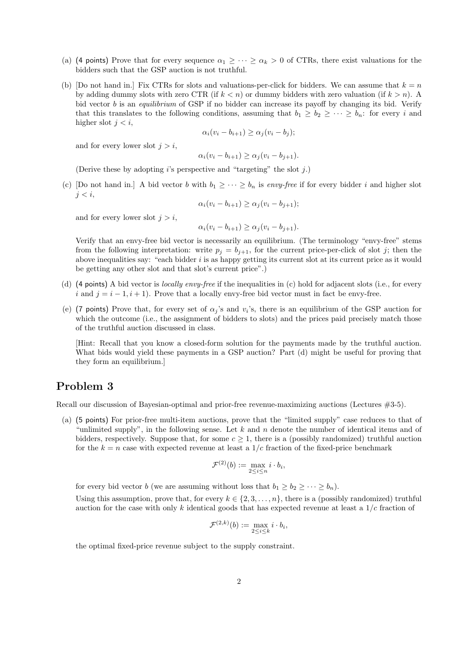- (a) (4 points) Prove that for every sequence  $\alpha_1 \geq \cdots \geq \alpha_k > 0$  of CTRs, there exist valuations for the bidders such that the GSP auction is not truthful.
- (b) [Do not hand in.] Fix CTRs for slots and valuations-per-click for bidders. We can assume that  $k = n$ by adding dummy slots with zero CTR (if  $k < n$ ) or dummy bidders with zero valuation (if  $k > n$ ). A bid vector *b* is an *equilibrium* of GSP if no bidder can increase its payoff by changing its bid. Verify that this translates to the following conditions, assuming that  $b_1 \geq b_2 \geq \cdots \geq b_n$ : for every i and higher slot  $j < i$ ,

$$
\alpha_i(v_i - b_{i+1}) \ge \alpha_j(v_i - b_j);
$$

and for every lower slot  $j > i$ ,

$$
\alpha_i(v_i - b_{i+1}) \ge \alpha_j(v_i - b_{j+1}).
$$

(Derive these by adopting  $i$ 's perspective and "targeting" the slot  $j$ .)

(c) [Do not hand in.] A bid vector b with  $b_1 \geq \cdots \geq b_n$  is envy-free if for every bidder i and higher slot  $j < i$ ,

$$
\alpha_i(v_i - b_{i+1}) \ge \alpha_j(v_i - b_{j+1});
$$

and for every lower slot  $j > i$ ,

$$
\alpha_i(v_i - b_{i+1}) \ge \alpha_j(v_i - b_{j+1}).
$$

Verify that an envy-free bid vector is necessarily an equilibrium. (The terminology "envy-free" stems from the following interpretation: write  $p_j = b_{j+1}$ , for the current price-per-click of slot j; then the above inequalities say: "each bidder  $i$  is as happy getting its current slot at its current price as it would be getting any other slot and that slot's current price".)

- (d) (4 points) A bid vector is *locally envy-free* if the inequalities in (c) hold for adjacent slots (i.e., for every i and  $j = i - 1, i + 1$ ). Prove that a locally envy-free bid vector must in fact be envy-free.
- (e) (7 points) Prove that, for every set of  $\alpha_j$ 's and  $v_i$ 's, there is an equilibrium of the GSP auction for which the outcome (i.e., the assignment of bidders to slots) and the prices paid precisely match those of the truthful auction discussed in class.

[Hint: Recall that you know a closed-form solution for the payments made by the truthful auction. What bids would yield these payments in a GSP auction? Part (d) might be useful for proving that they form an equilibrium.]

### Problem 3

Recall our discussion of Bayesian-optimal and prior-free revenue-maximizing auctions (Lectures #3-5).

(a) (5 points) For prior-free multi-item auctions, prove that the "limited supply" case reduces to that of "unlimited supply", in the following sense. Let  $k$  and  $n$  denote the number of identical items and of bidders, respectively. Suppose that, for some  $c \geq 1$ , there is a (possibly randomized) truthful auction for the  $k = n$  case with expected revenue at least a 1/c fraction of the fixed-price benchmark

$$
\mathcal{F}^{(2)}(b) := \max_{2 \leq i \leq n} i \cdot b_i,
$$

for every bid vector b (we are assuming without loss that  $b_1 \geq b_2 \geq \cdots \geq b_n$ ).

Using this assumption, prove that, for every  $k \in \{2, 3, ..., n\}$ , there is a (possibly randomized) truthful auction for the case with only k identical goods that has expected revenue at least a  $1/c$  fraction of

$$
\mathcal{F}^{(2,k)}(b) := \max_{2 \leq i \leq k} i \cdot b_i,
$$

the optimal fixed-price revenue subject to the supply constraint.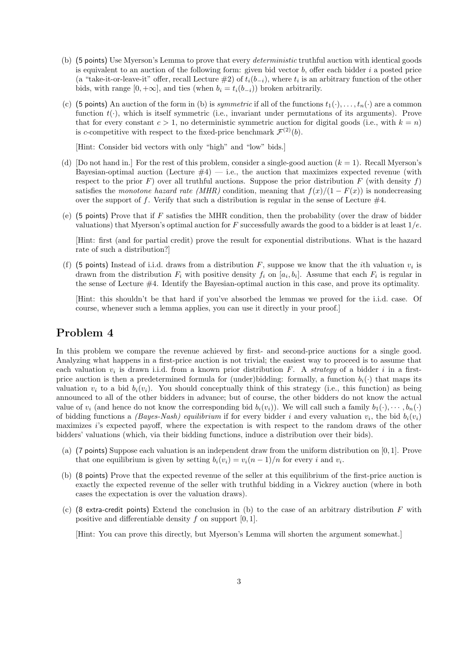- (b) (5 points) Use Myerson's Lemma to prove that every *deterministic* truthful auction with identical goods is equivalent to an auction of the following form: given bid vector  $b$ , offer each bidder  $i$  a posted price (a "take-it-or-leave-it" offer, recall Lecture  $\#2$ ) of  $t_i(b_{-i})$ , where  $t_i$  is an arbitrary function of the other bids, with range  $[0, +\infty]$ , and ties (when  $b_i = t_i(b_{-i})$ ) broken arbitrarily.
- (c) (5 points) An auction of the form in (b) is *symmetric* if all of the functions  $t_1(\cdot), \ldots, t_n(\cdot)$  are a common function  $t(\cdot)$ , which is itself symmetric (i.e., invariant under permutations of its arguments). Prove that for every constant  $c > 1$ , no deterministic symmetric auction for digital goods (i.e., with  $k = n$ ) is c-competitive with respect to the fixed-price benchmark  $\mathcal{F}^{(2)}(b)$ .

[Hint: Consider bid vectors with only "high" and "low" bids.]

- (d) [Do not hand in.] For the rest of this problem, consider a single-good auction  $(k = 1)$ . Recall Myerson's Bayesian-optimal auction (Lecture  $\#4$ ) — i.e., the auction that maximizes expected revenue (with respect to the prior F) over all truthful auctions. Suppose the prior distribution F (with density f) satisfies the monotone hazard rate (MHR) condition, meaning that  $f(x)/(1 - F(x))$  is nondecreasing over the support of f. Verify that such a distribution is regular in the sense of Lecture  $#4$ .
- (e) (5 points) Prove that if  $F$  satisfies the MHR condition, then the probability (over the draw of bidder valuations) that Myerson's optimal auction for F successfully awards the good to a bidder is at least  $1/e$ .

[Hint: first (and for partial credit) prove the result for exponential distributions. What is the hazard rate of such a distribution?]

(f) (5 points) Instead of i.i.d. draws from a distribution F, suppose we know that the *i*th valuation  $v_i$  is drawn from the distribution  $F_i$  with positive density  $f_i$  on  $[a_i, b_i]$ . Assume that each  $F_i$  is regular in the sense of Lecture #4. Identify the Bayesian-optimal auction in this case, and prove its optimality.

[Hint: this shouldn't be that hard if you've absorbed the lemmas we proved for the i.i.d. case. Of course, whenever such a lemma applies, you can use it directly in your proof.]

#### Problem 4

In this problem we compare the revenue achieved by first- and second-price auctions for a single good. Analyzing what happens in a first-price auction is not trivial; the easiest way to proceed is to assume that each valuation  $v_i$  is drawn i.i.d. from a known prior distribution F. A strategy of a bidder i in a firstprice auction is then a predetermined formula for (under)bidding: formally, a function  $b_i(\cdot)$  that maps its valuation  $v_i$  to a bid  $b_i(v_i)$ . You should conceptually think of this strategy (i.e., this function) as being announced to all of the other bidders in advance; but of course, the other bidders do not know the actual value of  $v_i$  (and hence do not know the corresponding bid  $b_i(v_i)$ ). We will call such a family  $b_1(\cdot), \dots, b_n(\cdot)$ of bidding functions a *(Bayes-Nash)* equilibrium if for every bidder i and every valuation  $v_i$ , the bid  $b_i(v_i)$ maximizes i's expected payoff, where the expectation is with respect to the random draws of the other bidders' valuations (which, via their bidding functions, induce a distribution over their bids).

- (a) (7 points) Suppose each valuation is an independent draw from the uniform distribution on [0, 1]. Prove that one equilibrium is given by setting  $b_i(v_i) = v_i(n-1)/n$  for every i and  $v_i$ .
- (b) (8 points) Prove that the expected revenue of the seller at this equilibrium of the first-price auction is exactly the expected revenue of the seller with truthful bidding in a Vickrey auction (where in both cases the expectation is over the valuation draws).
- (c) (8 extra-credit points) Extend the conclusion in (b) to the case of an arbitrary distribution  $F$  with positive and differentiable density f on support [0, 1].

[Hint: You can prove this directly, but Myerson's Lemma will shorten the argument somewhat.]